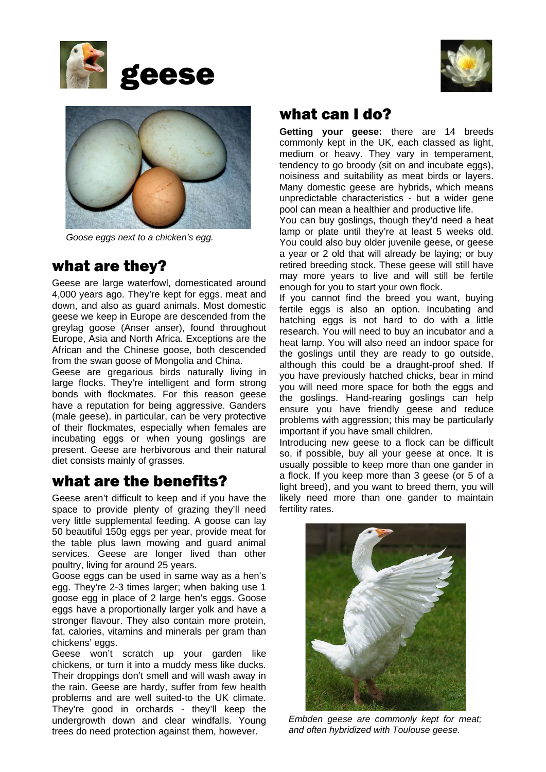





*Goose eggs next to a chicken's egg.*

## what are they?

Geese are large waterfowl, domesticated around 4,000 years ago. They're kept for eggs, meat and down, and also as guard animals. Most domestic geese we keep in Europe are descended from the greylag goose (Anser anser), found throughout Europe, Asia and North Africa. Exceptions are the African and the Chinese goose, both descended from the swan goose of Mongolia and China.

Geese are gregarious birds naturally living in large flocks. They're intelligent and form strong bonds with flockmates. For this reason geese have a reputation for being aggressive. Ganders (male geese), in particular, can be very protective of their flockmates, especially when females are incubating eggs or when young goslings are present. Geese are herbivorous and their natural diet consists mainly of grasses.

# what are the benefits?

Geese aren't difficult to keep and if you have the space to provide plenty of grazing they'll need very little supplemental feeding. A goose can lay 50 beautiful 150g eggs per year, provide meat for the table plus lawn mowing and guard animal services. Geese are longer lived than other poultry, living for around 25 years.

Goose eggs can be used in same way as a hen's egg. They're 2-3 times larger; when baking use 1 goose egg in place of 2 large hen's eggs. Goose eggs have a proportionally larger yolk and have a stronger flavour. They also contain more protein, fat, calories, vitamins and minerals per gram than chickens' eggs.

Geese won't scratch up your garden like chickens, or turn it into a muddy mess like ducks. Their droppings don't smell and will wash away in the rain. Geese are hardy, suffer from few health problems and are well suited-to the UK climate. They're good in orchards - they'll keep the undergrowth down and clear windfalls. Young trees do need protection against them, however.

#### what can I do?

**Getting your geese:** there are 14 breeds commonly kept in the UK, each classed as light, medium or heavy. They vary in temperament, tendency to go broody (sit on and incubate eggs), noisiness and suitability as meat birds or layers. Many domestic geese are hybrids, which means unpredictable characteristics - but a wider gene pool can mean a healthier and productive life.

You can buy goslings, though they'd need a heat lamp or plate until they're at least 5 weeks old. You could also buy older juvenile geese, or geese a year or 2 old that will already be laying; or buy retired breeding stock. These geese will still have may more years to live and will still be fertile enough for you to start your own flock.

If you cannot find the breed you want, buying fertile eggs is also an option. Incubating and hatching eggs is not hard to do with a little research. You will need to buy an incubator and a heat lamp. You will also need an indoor space for the goslings until they are ready to go outside, although this could be a draught-proof shed. If you have previously hatched chicks, bear in mind you will need more space for both the eggs and the goslings. Hand-rearing goslings can help ensure you have friendly geese and reduce problems with aggression; this may be particularly important if you have small children.

Introducing new geese to a flock can be difficult so, if possible, buy all your geese at once. It is usually possible to keep more than one gander in a flock. If you keep more than 3 geese (or 5 of a light breed), and you want to breed them, you will likely need more than one gander to maintain fertility rates.



*Embden geese are commonly kept for meat; and often hybridized with Toulouse geese.*